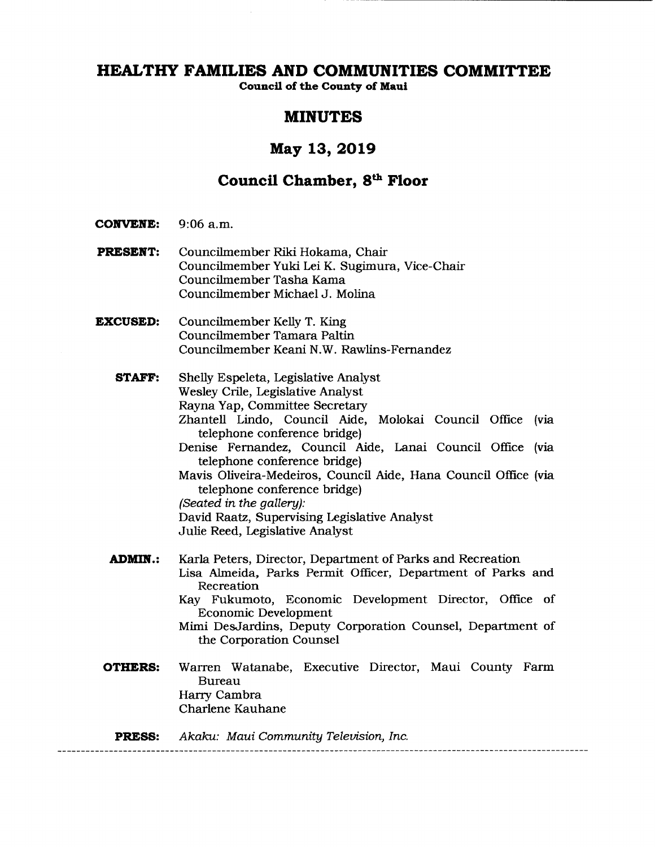**Council of the County of Maui** 

### **MINUTES**

## **May 13, 2019**

# **Council Chamber, 8th Floor**

- **CONVENE:** 9:06 a.m.
- **PRESENT:** Councilmember Riki Hokama, Chair Councilmember Yuki Lei K. Sugimura, Vice-Chair Councilmember Tasha Kama Councilmember Michael J. Molina
- **EXCUSED:** Councilmember Kelly T. King Councilmember Tamara Paltin Councilmember Keani N. W. Rawlins-Fernandez
	- **STAFF:** Shelly Espeleta, Legislative Analyst Wesley Crile, Legislative Analyst Rayna Yap, Committee Secretary Zhantell Lindo, Council Aide, Molokai Council Office (via telephone conference bridge) Denise Fernandez, Council Aide, Lanai Council Office (via telephone conference bridge) Mavis Oliveira-Medeiros, Council Aide, Hana Council Office (via telephone conference bridge) (Seated in the gallery): David Raatz, Supervising Legislative Analyst Julie Reed, Legislative Analyst **ADMIN.:** Karla Peters, Director, Department of Parks and Recreation Lisa Almeida, Parks Permit Officer, Department of Parks and Recreation Kay Fukumoto, Economic Development Director, Office of Economic Development Mimi DesJardins, Deputy Corporation Counsel, Department of the Corporation Counsel **OTHERS:** Warren Watanabe, Executive Director, Maui County Farm Bureau Harry Cambra

Charlene Kauhane

**PRESS:** Akaku: Maui Community Television, Inc.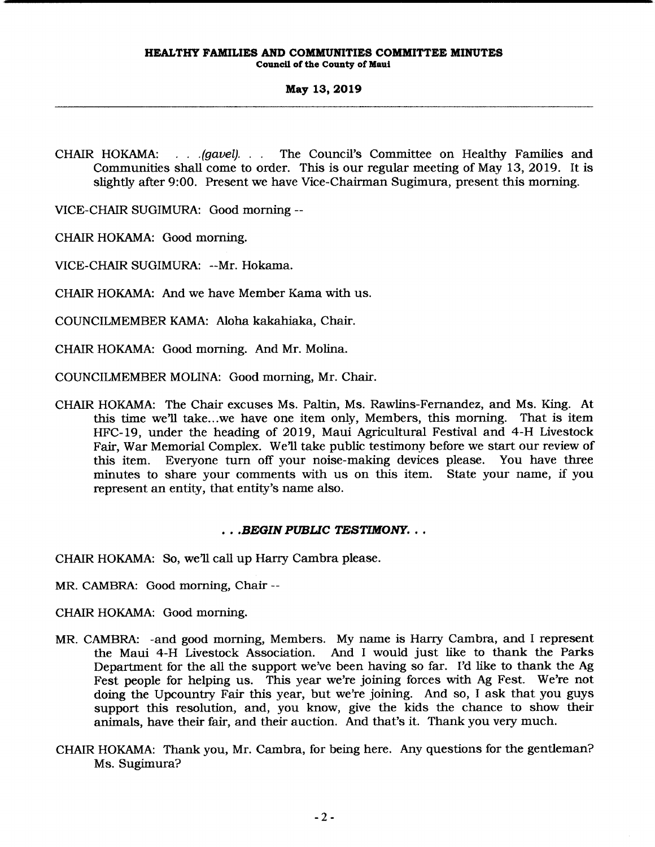CHAIR HOKAMA: . . . *. (gavel).* . . The Council's Committee on Healthy Families and Communities shall come to order. This is our regular meeting of May 13, 2019. It is slightly after 9:00. Present we have Vice-Chairman Sugimura, present this morning.

VICE-CHAIR SUGIMURA: Good morning --

CHAIR HOKAMA: Good morning.

VICE-CHAIR SUGIMURA: --Mr. Hokama.

CHAIR HOKAMA: And we have Member Kama with us.

COUNCILMEMBER KAMA: Aloha kakahiaka, Chair.

CHAIR HOKAMA: Good morning. And Mr. Molina.

COUNCILMEMBER MOLINA: Good morning, Mr. Chair.

CHAIR HOKAMA: The Chair excuses Ms. Paltin, Ms. Rawlins-Fernandez, and Ms. King. At this time we'll take...we have one item only, Members, this morning. That is item HFC-19, under the heading of 2019, Maui Agricultural Festival and 4-H Livestock Fair, War Memorial Complex. We'll take public testimony before we start our review of this item. Everyone turn off your noise-making devices please. You have three minutes to share your comments with us on this item. State your name, if you represent an entity, that entity's name also.

### . . *. BEGIN PUBUC TESTIMONY .* ..

CHAIR HOKAMA: So, we'll call up Harry Cambra please.

MR. CAMBRA: Good morning, Chair --

CHAIR HOKAMA: Good morning.

- MR. CAMBRA: -and good morning, Members. My name is Harry Cambra, and I represent the Maui 4-H Livestock Association. And I would just like to thank the Parks Department for the all the support we've been having so far. I'd like to thank the Ag Fest people for helping us. This year we're joining forces with Ag Fest. We're not doing the Upcountry Fair this year, but we're joining. And so, I ask that you guys support this resolution, and, you know, give the kids the chance to show their animals, have their fair, and their auction. And that's it. Thank you very much.
- CHAIR HOKAMA: Thank you, Mr. Cambra, for being here. Any questions for the gentleman? Ms. Sugimura?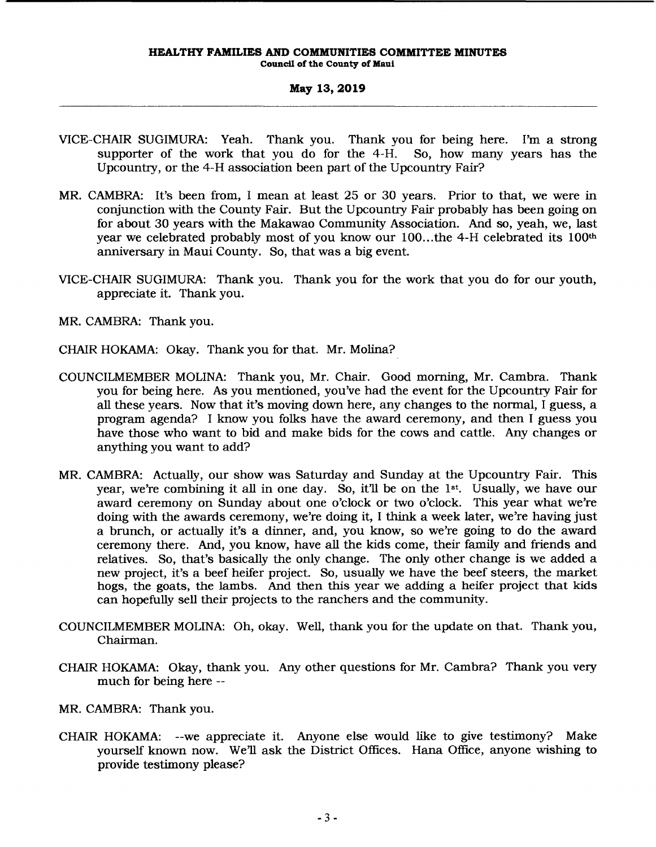- VICE-CHAIR SUGIMURA: Yeah. Thank you. Thank you for being here. I'm a strong supporter of the work that you do for the 4-H. So, how many years has the Upcountry, or the 4-H association been part of the Upcountry Fair?
- MR. CAMBRA: It's been from, I mean at least 25 or 30 years. Prior to that, we were in conjunction with the County Fair. But the Upcountry Fair probably has been going on for about 30 years with the Makawao Community Association. And so, yeah, we, last year we celebrated probably most of you know our 100... the 4-H celebrated its 100<sup>th</sup> anniversary in Maui County. So, that was a big event.
- VICE-CHAIR SUGIMURA: Thank you. Thank you for the work that you do for our youth, appreciate it. Thank you.
- MR. CAMBRA: Thank you.
- CHAIR HOKAMA: Okay. Thank you for that. Mr. Molina?
- COUNCILMEMBER MOLINA: Thank you, Mr. Chair. Good morning, Mr. Cambra. Thank you for being here. As you mentioned, you've had the event for the Upcountry Fair for all these years. Now that it's moving down here, any changes to the normal, I guess, a program agenda? I know you folks have the award ceremony, and then I guess you have those who want to bid and make bids for the cows and cattle. Any changes or anything you want to add?
- MR. CAMBRA: Actually, our show was Saturday and Sunday at the Upcountry Fair. This year, we're combining it all in one day. So, it'll be on the 1st. Usually, we have our award ceremony on Sunday about one o'clock or two o'clock. This year what we're doing with the awards ceremony, we're doing it, I think a week later, we're having just a brunch, or actually it's a dinner, and, you know, so we're going to do the award ceremony there. And, you know, have all the kids come, their family and friends and relatives. So, that's basically the only change. The only other change is we added a new project, it's a beef heifer project. So, usually we have the beef steers, the market hogs, the goats, the lambs. And then this year we adding a heifer project that kids can hopefully sell their projects to the ranchers and the community.
- COUNCILMEMBER MOLINA: Oh, okay. Well, thank you for the update on that. Thank you, Chairman.
- CHAIR HOKAMA: Okay, thank you. Any other questions for Mr. Cambra? Thank you very much for being here --
- MR. CAMBRA: Thank you.
- CHAIR HOKAMA: --we appreciate it. Anyone else would like to give testimony? Make yourself known now. We'll ask the District Offices. Hana Office, anyone wishing to provide testimony please?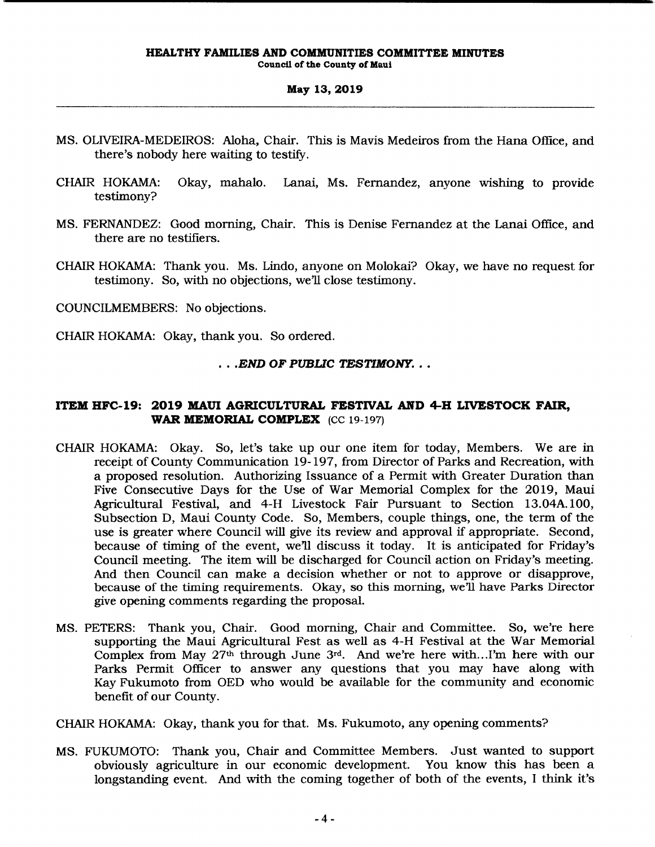- MS. OLNEIRA-MEDEIROS: Aloha, Chair. This is Mavis Medeiros from the Hana Office, and there's nobody here waiting to testify.
- CHAIR HOKAMA: Okay, mahalo. Lanai, Ms. Fernandez, anyone wishing to provide testimony?
- MS. FERNANDEZ: Good morning, Chair. This is Denise Fernandez at the Lanai Office, and there are no testifiers.
- CHAIR HOKAMA: Thank you. Ms. Lindo, anyone on Molokai? Okay, we have no request for testimony. So, with no objections, we'll close testimony.

COUNCILMEMBERS: No objections.

CHAIR HOKAMA: Okay, thank you. So ordered.

### . . *. END OF PUBLIC TESTIMONY .* ..

### **ITEM HFC-19: 2019 MAUl AGRICULTURAL FESTIVAL AND 4-H LIVESTOCK FAIR, WAR MEMORIAL COMPLEX** (CC 19-197)

- CHAIR HOKAMA: Okay. So, let's take up our one item for today, Members. We are in receipt of County Communication 19-197, from Director of Parks and Recreation, with a proposed resolution. Authorizing Issuance of a Permit with Greater Duration than Five Consecutive Days for the Use of War Memorial Complex for the 20 19, Maui Agricultural Festival, and 4-H Livestock Fair Pursuant to Section 13.04A.100, Subsection D, Maui County Code. So, Members, couple things, one, the term of the use is greater where Council will give its review and approval if appropriate. Second, because of timing of the event, we'll discuss it today. It is anticipated for Friday's Council meeting. The item will be discharged for Council action on Friday's meeting. And then Council can make a decision whether or not to approve or disapprove, because of the timing requirements. Okay, so this morning, we'll have Parks Director give opening comments regarding the proposal.
- MS. PETERS: Thank you, Chair. Good morning, Chair and Committee. So, we're here supporting the Maui Agricultural Fest as well as 4-H Festival at the War Memorial Complex from May 27th through June 3rd. And we're here with .. .I'm here with our Parks Permit Officer to answer any questions that you may have along with Kay Fukumoto from OED who would be available for the community and economic benefit of our County.

CHAIR HOKAMA: Okay, thank you for that. Ms. Fukumoto, any opening comments?

MS. FUKUMOTO: Thank you, Chair and Committee Members. Just wanted to support obviously agriculture in our economic development. You know this has been a longstanding event. And with the coming together of both of the events, I think it's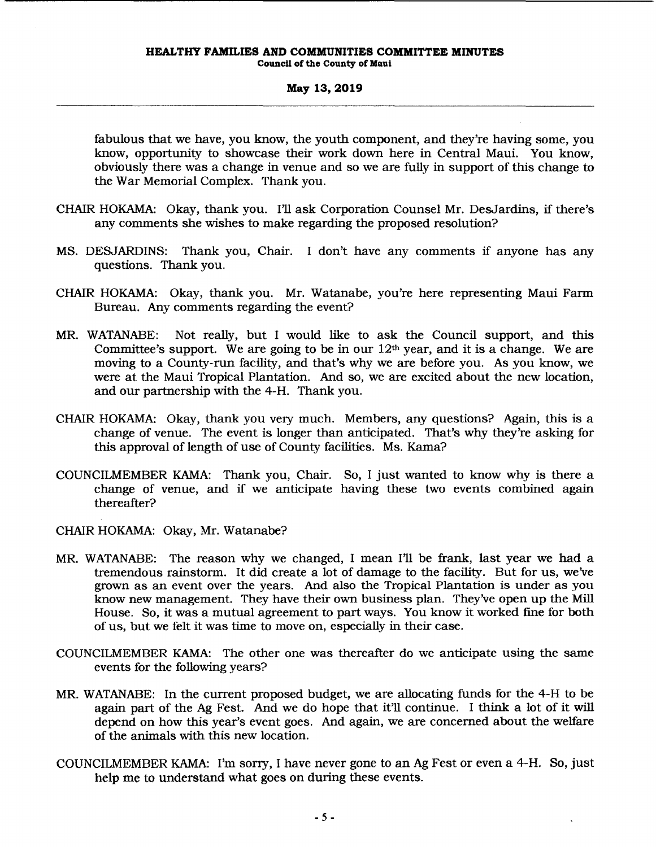fabulous that we have, you know, the youth component, and they're having some, you know, opportunity to showcase their work down here in Central Maui. You know, obviously there was a change in venue and so we are fully in support of this change to the War Memorial Complex. Thank you.

- CHAIR HOKAMA: Okay, thank you. I'll ask Corporation Counsel Mr. DesJardins, if there's any comments she wishes to make regarding the proposed resolution?
- MS. DESJARDINS: Thank you, Chair. I don't have any comments if anyone has any questions. Thank you.
- CHAIR HOKAMA: Okay, thank you. Mr. Watanabe, you're here representing Maui Farm Bureau. Any comments regarding the event?
- MR. WATANABE: Not really, but I would like to ask the Council support, and this Committee's support. We are going to be in our  $12<sup>th</sup>$  year, and it is a change. We are moving to a County-run facility, and that's why we are before you. As you know, we were at the Maui Tropical Plantation. And so, we are excited about the new location, and our partnership with the 4-H. Thank you.
- CHAIR HOKAMA: Okay, thank you *very* much. Members, any questions? Again, this is a change of venue. The event is longer than anticipated. That's why they're asking for this approval of length of use of County facilities. Ms. Kama?
- COUNCILMEMBER KAMA: Thank you, Chair. So, I just wanted to know why is there a change of venue, and if we anticipate having these two events combined again thereafter?

CHAIR HOKAMA: Okay, Mr. Watanabe?

- MR. WATANABE: The reason why we changed, I mean I'll be frank, last year we had a tremendous rainstorm. It did create a lot of damage to the facility. But for us, we've grown as an event over the years. And also the Tropical Plantation is under as you know new management. They have their own business plan. They've open up the Mill House. So, it was a mutual agreement to part ways. You know it worked fme for both of us, but we felt it was time to move on, especially in their case.
- COUNCILMEMBER KAMA: The other one was thereafter do we anticipate using the same events for the following years?
- MR. WATANABE: In the current proposed budget, we are allocating funds for the 4-H to be again part of the Ag Fest. And we do hope that it'll continue. I think a lot of it will depend on how this year's event goes. And again, we are concerned about the welfare of the animals with this new location.
- COUNCILMEMBER KAMA: I'm sorry, I have never gone to an Ag Fest or even a 4-H. So, just help me to understand what goes on during these events.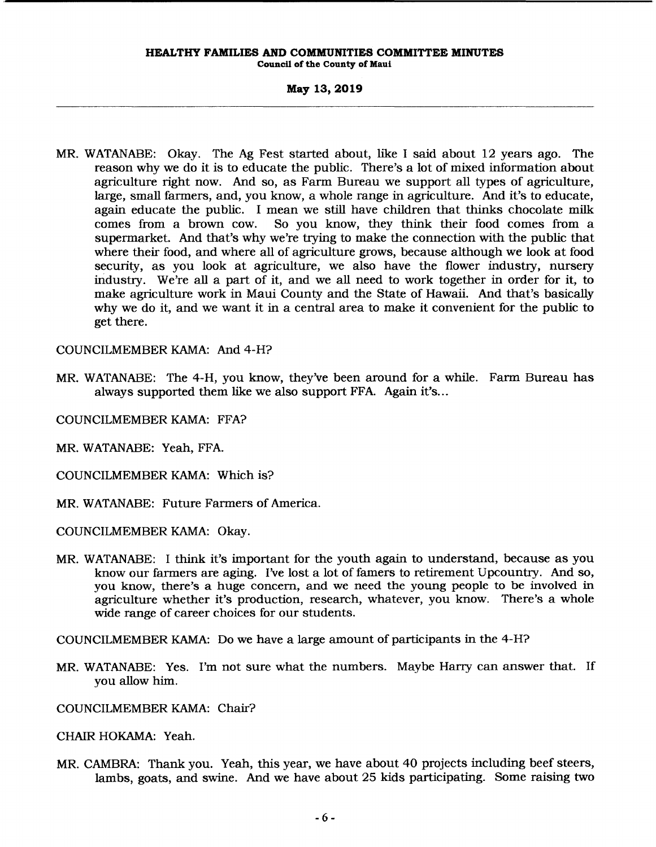**Council of the County of Maui** 

### **May 13,2019**

MR. WATANABE: Okay. The Ag Fest started about, like I said about 12 years ago. The reason why we do it is to educate the public. There's a lot of mixed information about agriculture right now. And so, as Farm Bureau we support all types of agriculture, large, small farmers, and, you know, a whole range in agriculture. And it's to educate, again educate the public. I mean we still have children that thinks chocolate milk<br>comes from a brown cow. So you know, they think their food comes from a So you know, they think their food comes from a supermarket. And that's why we're trying to make the connection with the public that where their food, and where all of agriculture grows, because although we look at food security, as you look at agriculture, we also have the flower industry, nursery iridustry. We're all a part of it, and we all need to work together in order for it, to make agriculture work in Maui County and the State of Hawaii. And that's basically why we do it, and we want it in a central area to make it convenient for the public to get there.

COUNCILMEMBER KAMA: And 4-H?

MR. WATANABE: The 4-H, you know, they've been around for a while. Farm Bureau has always supported them like we also support FFA. Again it's...

COUNCILMEMBER KAMA: FFA?

MR. WATANABE: Yeah, FFA.

COUNCILMEMBER KAMA: Which is?

MR. WATANABE: Future Farmers of America.

COUNCILMEMBER KAMA: Okay.

MR. WATANABE: I think it's important for the youth again to understand, because as you know our farmers are aging. I've lost a lot of famers to retirement Upcountry. And so, you know, there's a huge concem, and we need the young people to be involved in agriculture whether it's production, research, whatever, you know. There's a whole wide range of career choices for our students.

COUNCILMEMBER KAMA: Do we have a large amount of participants in the 4-H?

MR. WATANABE: Yes. I'm not sure what the numbers. Maybe Harry can answer that. If you allow him.

COUNCILMEMBER KAMA: Chair?

CHAIR HOKAMA: Yeah.

MR. CAMBRA: Thank you. Yeah, this year, we have about 40 projects including beef steers, lambs, goats, and swine. And we have about 25 kids participating. Some raising two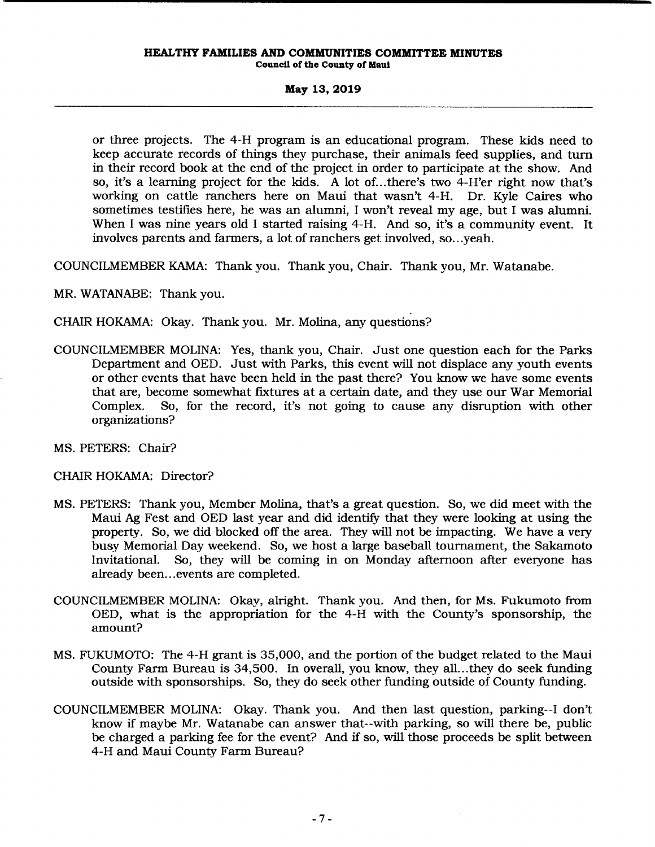#### **HEALTHY FAMILIES AND COMMUNITIES COMMITTEE MINUTES Council of the County of Maui**

**May 13,2019** 

or three projects. The 4-H program is an educational program. These kids need to keep accurate records of things they purchase, their animals feed supplies, and turn in their record book at the end of the project in order to participate at the show. And so, it's a learning project for the kids. A lot of ... there's two 4-H'er right now that's working on cattle ranchers here on Maui that wasn't 4-H. Dr. Kyle Caires who sometimes testifies here, he was an alumni, I won't reveal my age, but I was alumni. When I was nine years old I started raising 4-H. And so, it's a community event. It involves parents and farmers, a lot of ranchers get involved, so... yeah.

COUNCILMEMBER KAMA: Thank you. Thank you, Chair. Thank you, Mr. Watanabe.

MR. WATANABE: Thank you.

CHAIR HOKAMA: Okay. Thank you. Mr. Molina, any questions?

COUNCILMEMBER MOLINA: Yes, thank you, Chair. Just one question each for the Parks Department and OED. Just with Parks, this event will not displace any youth events or other events that have been held in the past there? You know we have some events that are, become somewhat fixtures at a certain date, and they use our War Memorial Complex. So, for the record, it's not going to cause any disruption with other organizations?

MS. PETERS: Chair?

### CHAIR HOKAMA: Director?

- MS. PETERS: Thank you, Member Molina, that's a great question. So, we did meet with the Maui Ag Fest and OED last year and did identify that they were looking at using the property. So, we did blocked off the area. They will not be impacting. We have a very busy Memorial Day weekend. So, we host a large baseball tournament, the Sakamoto Invitational. So, they will be coming in on Monday afternoon after everyone has already been... events are completed.
- COUNCILMEMBER MOLINA: Okay, alright. Thank you. And then, for Ms. Fukumoto from OED, what is the appropriation for the 4-H with the County's sponsorship, the amount?
- MS. FUKUMOTO: The 4-H grant is 35,000, and the portion of the budget related to the Maui County Farm Bureau is 34,500. In overall, you know, they all...they do seek funding outside with sponsorships. So, they do seek other funding outside of County funding.
- COUNCILMEMBER MOLINA: Okay. Thank you. And then last question, parking--! don't know if maybe Mr. Watanabe can answer that--with parking, so will there be, public be charged a parking fee for the event? And if so, will those proceeds be split between 4-H and Maui County Farm Bureau?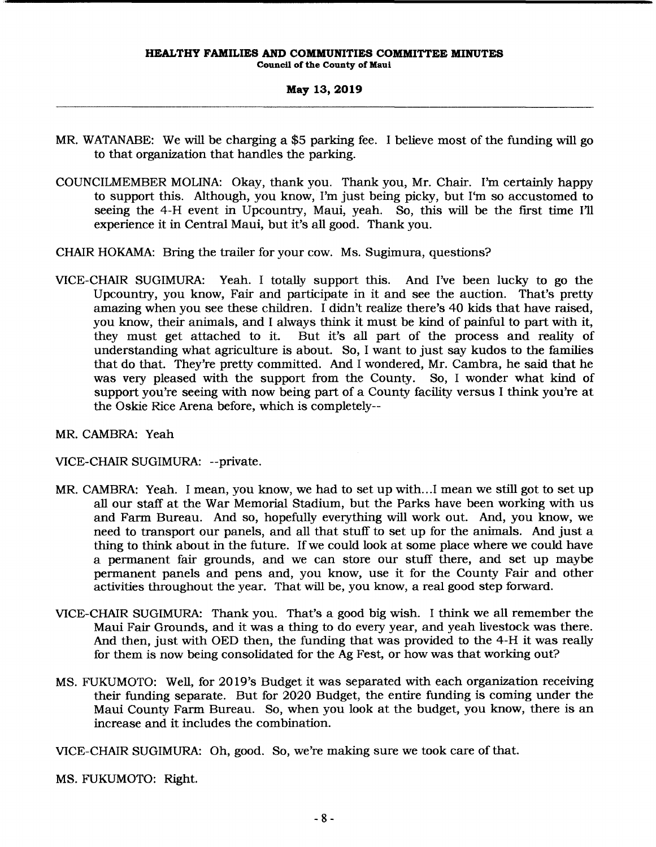- MR. WATANABE: We will be charging a \$5 parking fee. I believe most of the funding will go to that organization that handles the parking.
- COUNCILMEMBER MOLINA: Okay, thank you. Thank you, Mr. Chair. I'm certainly happy to support this. Although, you know, I'm just being picky, but I'm so accustomed to seeing the 4-H event in Upcountry, Maui, yeah. So, this will be the first time I'll experience it in Central Maui, but it's all good. Thank you.
- CHAIR HOKAMA: Bring the trailer for your cow. Ms. Sugimura, questions?
- VICE-CHAIR SUGIMURA: Yeah. I totally support this. And I've been lucky to go the Upcountry, you know, Fair and participate in it and see the auction. That's pretty amazing when you see these children. I didn't realize there's 40 kids that have raised, you know, their animals, and I always think it must be kind of painful to part with it, But it's all part of the process and reality of understanding what agriculture is about. So, I want to just say kudos to the families that do that. They're pretty committed. And I wondered, Mr. Cambra, he said that he was *very* pleased with the support from the County. So, I wonder what kind of support you're seeing with now being part of a County facility versus I think you're at the Oskie Rice Arena before, which is completely--
- MR. CAMBRA: Yeah

VICE-CHAIR SUGIMURA: --private.

- MR. CAMBRA: Yeah. I mean, you know, we had to set up with...I mean we still got to set up all our staff at the War Memorial Stadium, but the Parks have been working with us and Farm Bureau. And so, hopefully everything will work out. And, you know, we need to transport our panels, and all that stuff to set up for the animals. And just a thing to think about in the future. Ifwe could look at some place where we could have a permanent fair grounds, and we can store our stuff there, and set up maybe permanent panels and pens and, you know, use it for the County Fair and other activities throughout the year. That will be, you know, a real good step forward.
- VICE-CHAIR SUGIMURA: Thank you. That's a good big wish. I think we all remember the Maui Fair Grounds, and it was a thing to do *every* year, and yeah livestock was there. And then, just with OED then, the funding that was provided to the 4-H it was really for them is now being consolidated for the Ag Fest, or how was that working out?
- MS. FUKUMOTO: Well, for 2019's Budget it was separated with each organization receiving their funding separate. But for 2020 Budget, the entire funding is coming under the Maui County Farm Bureau. So, when you look at the budget, you know, there is an increase and it includes the combination.

VICE-CHAIR SUGIMURA: Oh, good. So, we're making sure we took care of that.

MS. FUKUMOTO: Right.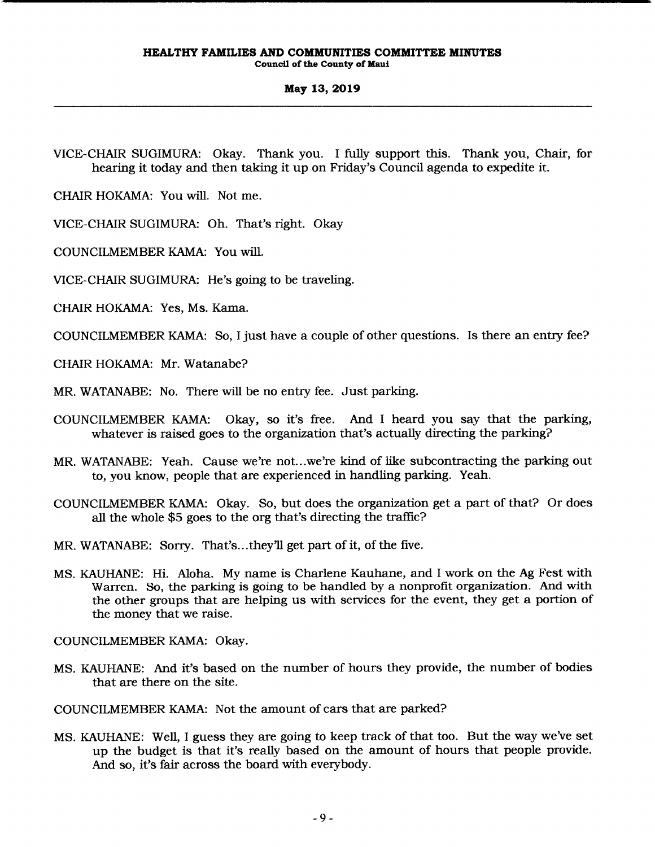VICE-CHAIR SUGIMURA: Okay. Thank you. I fully support this. Thank you, Chair, for hearing it today and then taking it up on Friday's Council agenda to expedite it.

CHAIR HOKAMA: You will. Not me.

VICE-CHAIR SUGIMURA: Oh. That's right. Okay

COUNCILMEMBER KAMA: You will.

VICE-CHAIR SUGIMURA: He's going to be traveling.

CHAIR HOKAMA: Yes, Ms. Kama.

COUNCILMEMBER KAMA: So, I just have a couple of other questions. Is there an entry fee?

CHAIR HOKAMA: Mr. Watanabe?

MR. WATANABE: No. There will be no entry fee. Just parking.

- COUNCILMEMBER KAMA: Okay, so it's free. And I heard you say that the parking, whatever is raised goes to the organization that's actually directing the parking?
- MR. WATANABE: Yeah. Cause we're not ... we're kind of like subcontracting the parking out to, you know, people that are experienced in handling parking. Yeah.
- COUNCILMEMBER KAMA: Okay. So, but does the organization get a part of that? Or does all the whole \$5 goes to the org that's directing the traffic?
- MR. WATANABE: Sorry. That's ... they'll get part of it, of the five.
- MS. KAUHANE: Hi. Aloha. My name is Charlene Kauhane, and I work on the Ag Fest with Warren. So, the parking is going to be handled by a nonprofit organization. And with the other groups that are helping us with services for the event, they get a portion of the money that we raise.

COUNCILMEMBER KAMA: Okay.

MS. KAUHANE: And it's based on the number of hours they provide, the number of bodies that are there on the site.

COUNCILMEMBER KAMA: Not the amount of cars that are parked?

MS. KAUHANE: Well, I guess they are going to keep track of that too. But the way we've set up the budget is that it's really based on the amount of hours that people provide. And so, it's fair across the board with everybody.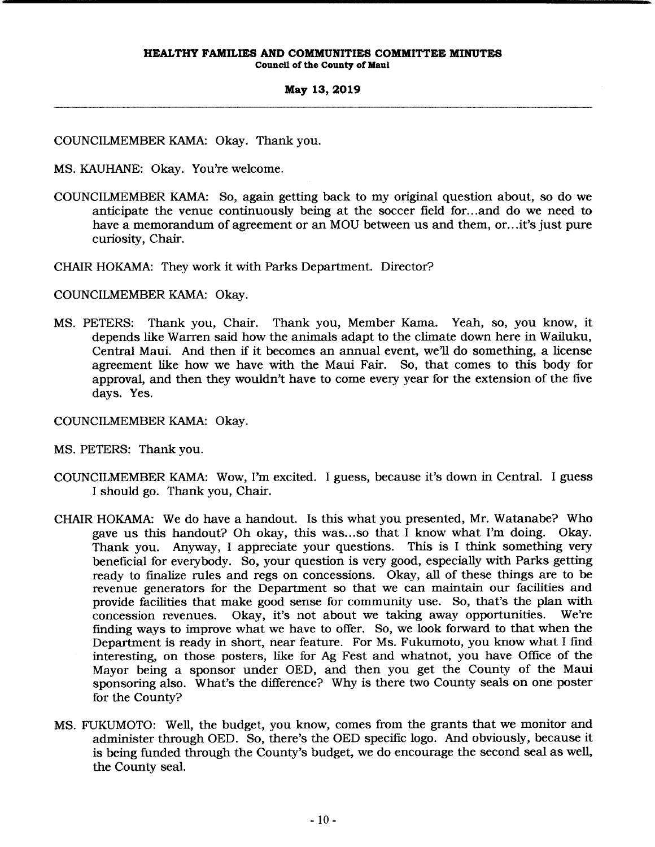COUNCILMEMBER KAMA: Okay. Thank you.

- MS. KAUHANE: Okay. You're welcome.
- COUNCILMEMBER KAMA: So, again getting back to my original question about, so do we anticipate the venue continuously being at the soccer field for ... and do we need to have a memorandum of agreement or an MOU between us and them, or... it's just pure curiosity, Chair.
- CHAIR HOKAMA: They work it with Parks Department. Director?
- COUNCILMEMBER KAMA: Okay.
- MS. PETERS: Thank you, Chair. Thank you, Member Kama. Yeah, so, you know, it depends like Warren said how the animals adapt to the climate down here in Wailuku, Central Maui. And then if it becomes an annual event, we'll do something, a license agreement like how we have with the Maui Fair. So, that comes to this body for approval, and then they wouldn't have to come *every* year for the extension of the five days. Yes.
- COUNCILMEMBER KAMA: Okay.
- MS. PETERS: Thank you.
- COUNCILMEMBER KAMA: Wow, I'm excited. I guess, because it's down in Central. I guess I should go. Thank you, Chair.
- CHAIR HOKAMA: We do have a handout. Is this what you presented, Mr. Watanabe? Who gave us this handout? Oh okay, this was ... so that I know what I'm doing. Okay. Thank you. Anyway, I appreciate your questions. This is I think something very beneficial for everybody. So, your question is *very* good, especially with Parks getting ready to fmalize rules and regs on concessions. Okay, all of these things are to be revenue generators for the Department so that we can maintain our facilities and provide facilities that make good sense for community use. So, that's the plan with concession revenues. Okay, it's not about we taking away opportunities. We're fmding ways to improve what we have to offer. So, we look forward to that when the Department is ready in short, near feature. For Ms. Fukumoto, you know what I find interesting, on those posters, like for Ag Fest and whatnot, you have Office of the Mayor being a sponsor under OED, and then you get the County of the Maui sponsoring also. What's the difference? Why is there two County seals on one poster for the County?
- MS. FUKUMOTO: Well, the budget, you know, comes from the grants that we monitor and administer through OED. So, there's the OED specific logo. And obviously, because it is being funded through the County's budget, we do encourage the second seal as well, the County seal.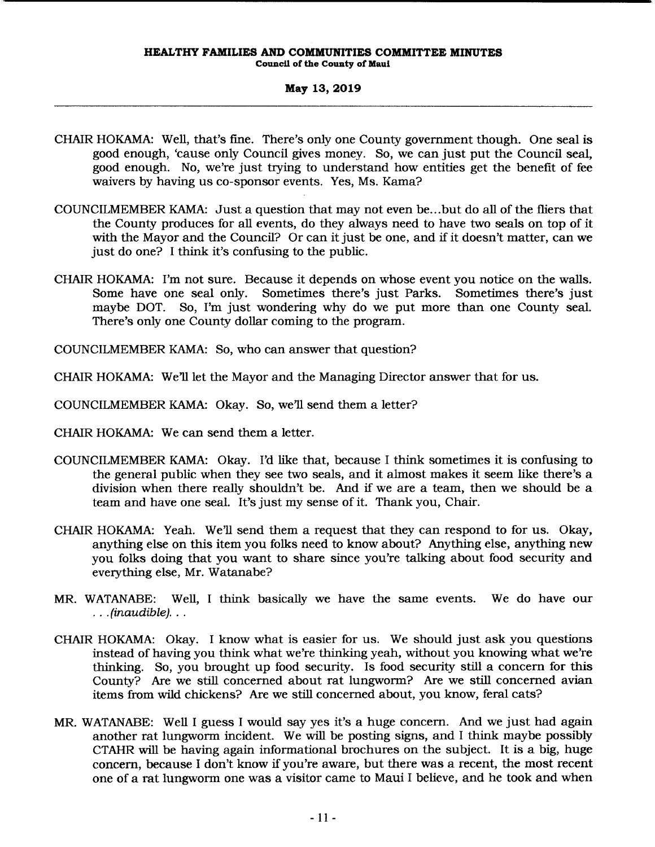**Council of the County of Maui** 

### **May 13,2019**

- CHAIR HOKAMA: Well, that's fme. There's only one County government though. One seal is good enough, 'cause only Council gives money. So, we can just put the Council seal, good enough. No, we're just trying to understand how entities get the benefit of fee waivers by having us co-sponsor events. Yes, Ms. Kama?
- COUNCILMEMBER KAMA: Just a question that may not even be ... but do all of the fliers that the County produces for all events, do they always need to have two seals on top of it with the Mayor and the Council? Or can it just be one, and if it doesn't matter, can we just do one? I think it's confusing to the public.
- CHAIR HOKAMA: I'm not sure. Because it depends on whose event you notice on the walls. Some have one seal only. Sometimes there's just Parks. Sometimes there's just maybe DOT. So, I'm just wondering why do we put more than one County seal. There's only one County dollar coming to the program.

COUNCILMEMBER KAMA: So, who can answer that question?

CHAIR HOKAMA: We'll let the Mayor and the Managing Director answer that for us.

COUNCILMEMBER KAMA: Okay. So, we'll send them a letter?

CHAIR HOKAMA: We can send them a letter.

- COUNCILMEMBER KAMA: Okay. I'd like that, because I think sometimes it is confusing to the general public when they see two seals, and it almost makes it seem like there's a division when there really shouldn't be. And if we are a team, then we should be a team and have one seal. It's just my sense of it. Thank you, Chair.
- CHAIR HOKAMA: Yeah. We'll send them a request that they can respond to for us. Okay, anything else on this item you folks need to know about? Anything else, anything new you folks doing that you want to share since you're talking about food security and everything else, Mr. Watanabe?
- MR. WATANABE: Well, I think basically we have the same events. We do have our  $\ldots$  (inaudible)...
- CHAIR HOKAMA: Okay. I know what is easier for us. We should just ask you questions instead of having you think what we're thinking yeah, without you knowing what we're thinking. So, you brought up food security. Is food security still a concern for this County? Are we still concerned about rat lungworm? Are we still concerned avian items from wild chickens? Are we still concerned about, you know, feral cats?
- MR. WATANABE: Well I guess I would say yes it's a huge concern. And we just had again another rat lungworm incident. We will be posting signs, and I think maybe possibly CTAHR will be having again informational brochures on the subject. It is a big, huge concern, because I don't know if you're aware, but there was a recent, the most recent one of a rat lungworm one was a visitor came to Maui I believe, and he took and when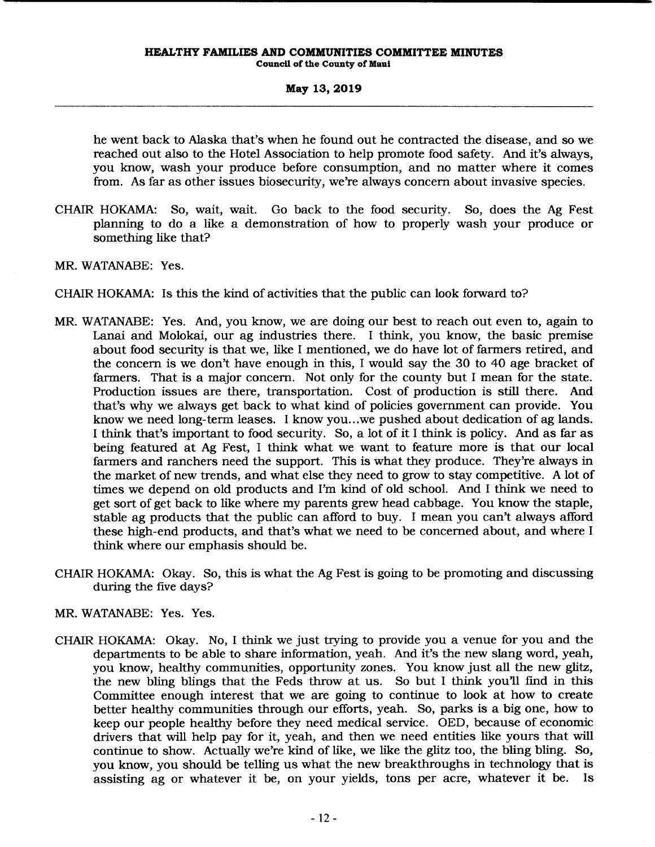he went back to Alaska that's when he found out he contracted the disease, and so we reached out also to the Hotel Association to help promote food safety. And it's always, you know, wash your produce before consumption, and no matter where it comes from. As far as other issues biosecurity, we're always concern about invasive species.

- CHAIR HOKAMA: So, wait, wait. Go back to the food security. So, does the Ag Fest planning to do a like a demonstration of how to properly wash your produce or something like that?
- MR. WATANABE: Yes.
- CHAIR HOKAMA: Is this the kind of activities that the public can look forward to?
- MR. WATANABE: Yes. And, you know, we are doing our best to reach out even to, again to Lanai and Molokai, our ag industries there. I think, you know, the basic premise about food security is that we, like I mentioned, we do have lot of farmers retired, and the concern is we don't have enough in this, I would say the 30 to 40 age bracket of farmers. That is a major concern. Not only for the county but I mean for the state. Production issues are there, transportation. Cost of production is still there. And that's why we always get back to what kind of policies government can provide. You know we need long-term leases. I know you ... we pushed about dedication of ag lands. I think that's important to food security. So, a lot of it I think is policy. And as far as being featured at Ag Fest, I think what we want to feature more is that our local farmers and ranchers need the support. This is what they produce. They're always in the market of new trends, and what else they need to grow to stay competitive. A lot of times we depend on old products and I'm kind of old school. And I think we need to get sort of get back to like where my parents grew head cabbage. You know the staple, stable ag products that the public can afford to buy. I mean you can't always afford these high-end products, and that's what we need to be concerned about, and where I think where our emphasis should be.
- CHAIR HOKAMA: Okay. So, this is what the Ag Fest is going to be promoting and discussing during the five days?
- MR. WATANABE: Yes. Yes.
- CHAIR HOKAMA: Okay. No, I think we just trying to provide you a venue for you and the departments to be able to share information, yeah. And it's the new slang word, yeah, you know, healthy communities, opportunity zones. You know just all the new glitz, the new bling blings that the Feds throw at us. So but I think you'll find in this Committee enough interest that we are going to continue to look at how to create better healthy communities through our efforts, yeah. So, parks is a big one, how to keep our people healthy before they need medical service. OED, because of economic drivers that will help pay for it, yeah, and then we need entities like yours that will continue to show. Actually we're kind of like, we like the glitz too, the bling bling. So, you know, you should be telling us what the new breakthroughs in technology that is assisting ag or whatever it be, on your yields, tons per acre, whatever it be. Is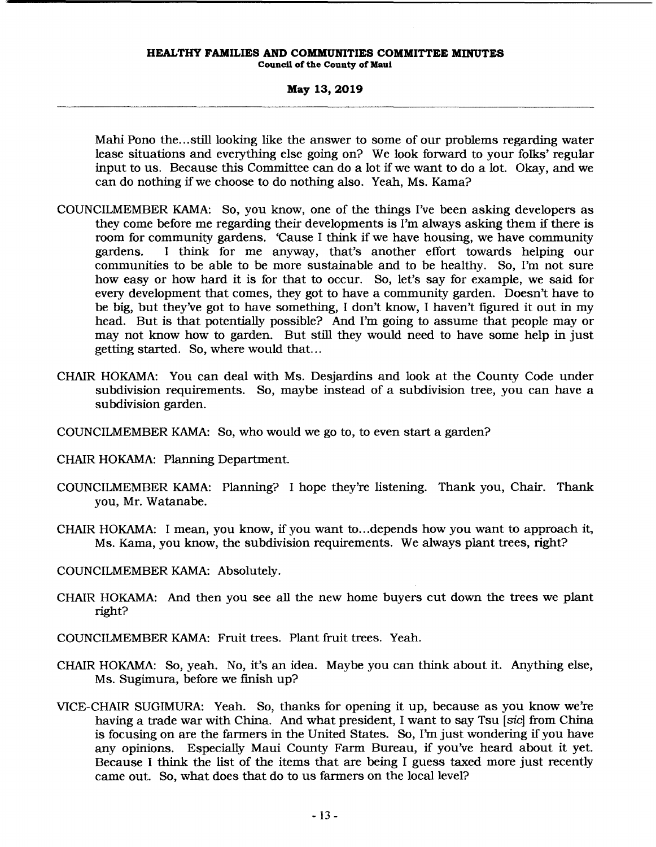Mahi Pono the... still looking like the answer to some of our problems regarding water lease situations and everything else going on? We look forward to your folks' regular input to us. Because this Committee can do a lot if we want to do a lot. Okay, and we can do nothing if we choose to do nothing also. Yeah, Ms. Kama?

- COUNCILMEMBER KAMA: So, you know, one of the things I've been asking developers as they come before me regarding their developments is I'm always asking them if there is room for community gardens. 'Cause I think if we have housing, we have community gardens. I think for me anyway, that's another effort towards helping our communities to be able to be more sustainable and to be healthy. So, I'm not sure how easy or how hard it is for that to occur. So, let's say for example, we said for every development that comes, they got to have a community garden. Doesn't have to be big, but they've got to have something, I don't know, I haven't figured it out in my head. But is that potentially possible? And I'm going to assume that people may or may not know how to garden. But still they would need to have some help in just getting started. So, where would that...
- CHAIR HOKAMA: You can deal with Ms. Desjardins and look at the County Code under subdivision requirements. So, maybe instead of a subdivision tree, you can have a subdivision garden.
- COUNCILMEMBER KAMA: So, who would we go to, to even start a garden?
- CHAIR HOKAMA: Planning Department.
- COUNCILMEMBER KAMA: Planning? I hope they're listening. Thank you, Chair. Thank you, Mr. Watanabe.
- CHAIR HOKAMA: I mean, you know, if you want to ... depends how you want to approach it, Ms. Kama, you know, the subdivision requirements. We always plant trees, right?
- COUNCILMEMBER KAMA: Absolutely.
- CHAIR HOKAMA: And then you see all the new home buyers cut down the trees we plant right?
- COUNCILMEMBER KAMA: Fruit trees. Plant fruit trees. Yeah.
- CHAIR HOKAMA: So, yeah. No, it's an idea. Maybe you can think about it. Anything else, Ms. Sugimura, before we finish up?
- VICE-CHAIR SUGIMURA: Yeah. So, thanks for opening it up, because as you know we're having a trade war with China. And what president, I want to say Tsu [sic] from China is focusing on are the farmers in the United States. So, I'm just wondering if you have any opinions. Especially Maui County Farm Bureau, if you've heard about it yet. Because I think the list of the items that are being I guess taxed more just recently came out. So, what does that do to us farmers on the local level?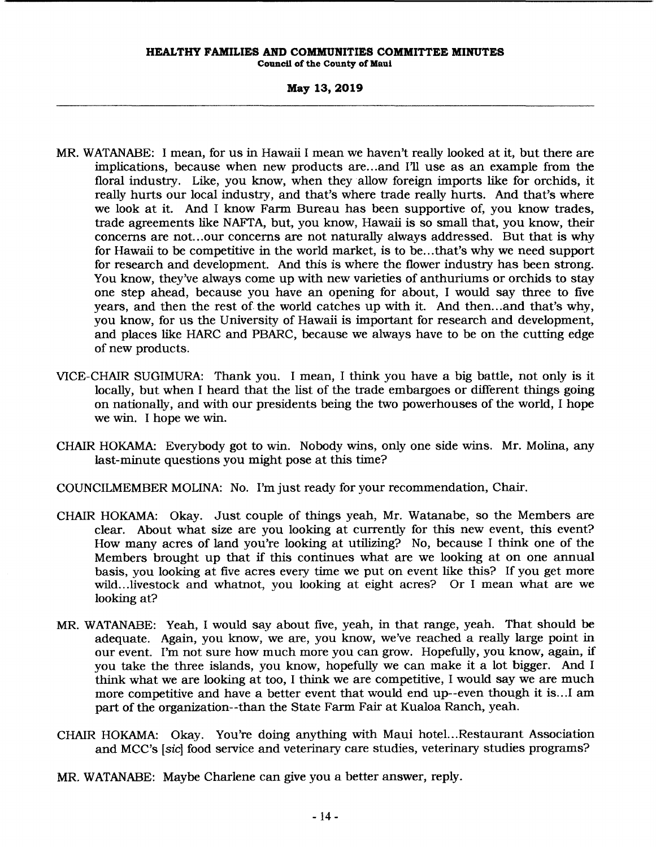**Connell or the County or Maui** 

### **May 13,2019**

- MR. WATANABE: I mean, for us in Hawaii I mean we haven't really looked at it, but there are implications, because when new products are ... and I'll use as an example from the floral industry. Like, you know, when they allow foreign imports like for orchids, it really hurts our local industry, and that's where trade really hurts. And that's where we look at it. And I know Farm Bureau has been supportive of, you know trades, trade agreements like NAFTA, but, you know, Hawaii is so small that, you know, their concerns are not ... our concerns are not naturally always addressed. But that is why for Hawaii to be competitive in the world market, is to be ... that's why we need support for research and development. And this is where the flower industry has been strong. You know, they've always come up with new varieties of anthuriums or orchids to stay one step ahead, because you have an opening for about, I would say three to five years, and then the rest of the world catches up with it. And then ... and that's why, you know, for us the University of Hawaii is important for research and development, and places like HARC and PBARC, because we always have to be on the cutting edge of new products.
- VICE-CHAIR SUGIMURA: Thank you. I mean, I think you have a big battle, not only is it locally, but when I heard that the list of the trade embargoes or different things going on nationally, and with our presidents being the two powerhouses of the world, I hope we win. I hope we win.
- CHAIR HOKAMA: Everybody got to win. Nobody wins, only one side wins. Mr. Molina, any last-minute questions you might pose at this time?
- COUNCILMEMBER MOLINA: No. I'm just ready for your recommendation, Chair.
- CHAIR HOKAMA: Okay. Just couple of things yeah, Mr. Watanabe, so the Members are clear. About what size are you looking at currently for this new event, this event? How many acres of land you're looking at utilizing? No, because I think one of the Members brought up that if this continues what are we looking at on one annual basis, you looking at five acres every time we put on event like this? If you get more wild...livestock and whatnot, you looking at eight acres? Or I mean what are we looking at?
- MR. WATANABE: Yeah, I would say about five, yeah, in that range, yeah. That should be adequate. Again, you know, we are, you know, we've reached a really large point in our event. I'm not sure how much more you can grow. Hopefully, you know, again, if you take the three islands, you know, hopefully we can make it a lot bigger. And I think what we are looking at too, I think we are competitive, I would say we are much more competitive and have a better event that would end up--even though it is .. .I am part of the organization--than the State Farm Fair at Kualoa Ranch, yeah.
- CHAIR HOKAMA: Okay. You're doing anything with Maui hotel...Restaurant Association and MCC's [sic] food service and veterinary care studies, veterinary studies programs?
- MR. WATANABE: Maybe Charlene can give you a better answer, reply.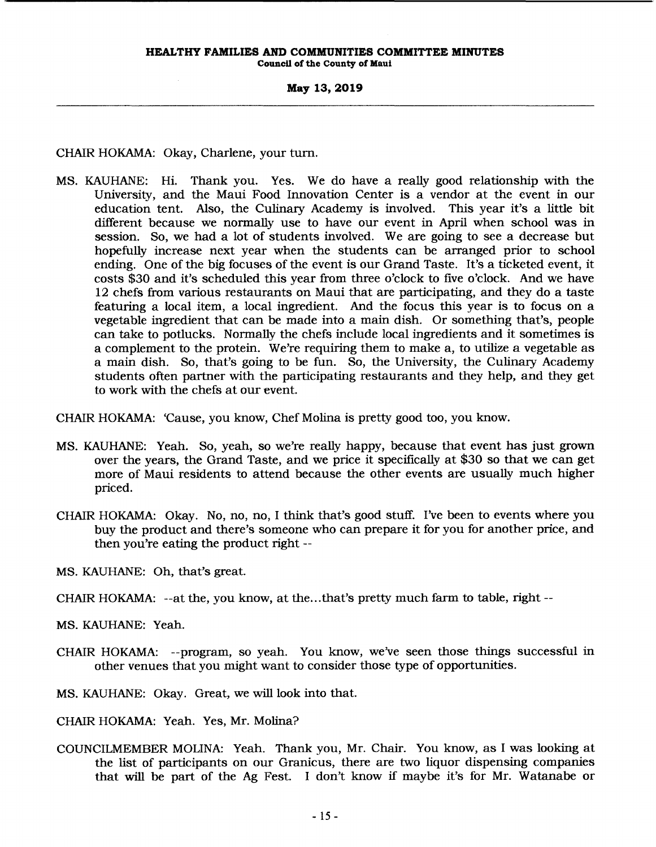CHAIR HOKAMA: Okay, Charlene, your tum.

MS. KAUHANE: Hi. Thank you. Yes. We do have a really good relationship with the University, and the Maui Food Innovation Center is a vendor at the event in our education tent. Also, the Culinary Academy is involved. This year it's a little bit different because we normally use to have our event in April when school was in session. So, we had a lot of students involved. We are going to see a decrease but hopefully increase next year when the students can be arranged prior to school ending. One of the big focuses of the event is our Grand Taste. It's a ticketed event, it costs \$30 and it's scheduled this year from three o'clock to five o'clock. And we have 12 chefs from various restaurants on Maui that are participating, and they do a taste featuring a local item, a local ingredient. And the focus this year is to focus on a vegetable ingredient that can be made into a main dish. Or something that's, people can take to potlucks. Normally the chefs include local ingredients and it sometimes is a complement to the protein. We're requiring them to make a, to utilize a vegetable as a main dish. So, that's going to be fun. So, the University, the Culinary Academy students often partner with the participating restaurants and they help, and they get to work with the chefs at our event.

CHAIR HOKAMA: 'Cause, you know, Chef Molina is pretty good too, you know.

- MS. KAUHANE: Yeah. So, yeah, so we're really happy, because that event has just grown over the years, the Grand Taste, and we price it specifically at \$30 so that we can get more of Maui residents to attend because the other events are usually much higher priced.
- CHAIR HOKAMA: Okay. No, no, no, I think that's good stuff. I've been to events where you buy the product and there's someone who can prepare it for you for another price, and then you're eating the product right--

MS. KAUHANE: Oh, that's great.

CHAIR HOKAMA: --at the, you know, at the...that's pretty much farm to table, right --

MS. KAUHANE: Yeah.

CHAIR HOKAMA: --program, so yeah. You know, we've seen those things successful in other venues that you might want to consider those type of opportunities.

MS. KAUHANE: Okay. Great, we will look into that.

CHAIR HOKAMA: Yeah. Yes, Mr. Molina?

COUNCILMEMBER MOLINA: Yeah. Thank you, Mr. Chair. You know, as I was looking at the list of participants on our Granicus, there are two liquor dispensing companies that will be part of the Ag Fest. I don't know if maybe it's for Mr. Watanabe or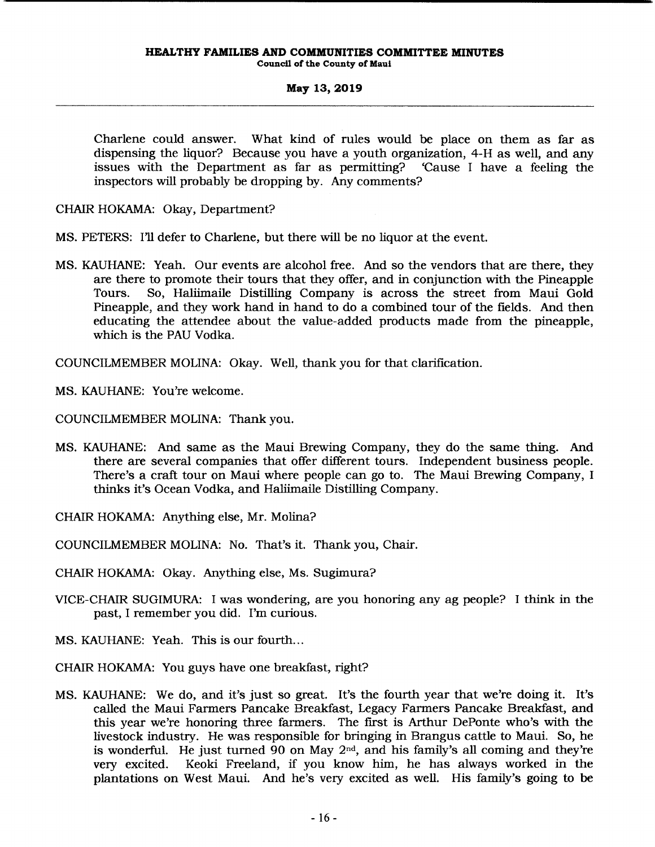Charlene could answer. What kind of rules would be place on them as far as dispensing the liquor? Because you have a youth organization, 4-H as well, and any issues with the Department as far as permitting? 'Cause I have a feeling the inspectors will probably be dropping by. Any comments?

CHAIR HOKAMA: Okay, Department?

MS. PETERS: I'll defer to Charlene, but there will be no liquor at the event.

MS. KAUHANE: Yeah. Our events are alcohol free. And so the vendors that are there, they are there to promote their tours that they offer, and in conjunction with the Pineapple Tours. So, Haliimaile Distilling Company is across the street from Maui Gold Pineapple, and they work hand in hand to do a combined tour of the fields. And then educating the attendee about the value-added products made from the pineapple, which is the PAU Vodka.

COUNCILMEMBER MOLINA: Okay. Well, thank you for that clarification.

MS. KAUHANE: You're welcome.

COUNCILMEMBER MOLINA: Thank you.

MS. KAUHANE: And same as the Maui Brewing Company, they do the same thing. And there are several companies that offer different tours. Independent business people. There's a craft tour on Maui where people can go to. The Maui Brewing Company, I thinks it's Ocean Vodka, and Haliimaile Distilling Company.

CHAIR HOKAMA: Anything else, Mr. Molina?

COUNCILMEMBER MOLINA: No. That's it. Thank you, Chair.

CHAIR HOKAMA: Okay. Anything else, Ms. Sugimura?

- VICE-CHAIR SUGIMURA: I was wondering, are you honoring any ag people? I think in the past, I remember you did. I'm curious.
- MS. KAUHANE: Yeah. This is our fourth...
- CHAIR HOKAMA: You guys have one breakfast, right?
- MS. KAUHANE: We do, and it's just so great. It's the fourth year that we're doing it. It's called the Maui Farmers Pancake Breakfast, Legacy Farmers Pancake Breakfast, and this year we're honoring three farmers. The first is Arthur DePonte who's with the livestock industry. He was responsible for bringing in Brangus cattle to Maui. So, he is wonderful. He just turned 90 on May  $2<sup>nd</sup>$ , and his family's all coming and they're *very* excited. Keoki Freeland, if you know him, he has always worked in the plantations on West Maui. And he's *very* excited as well. His family's going to be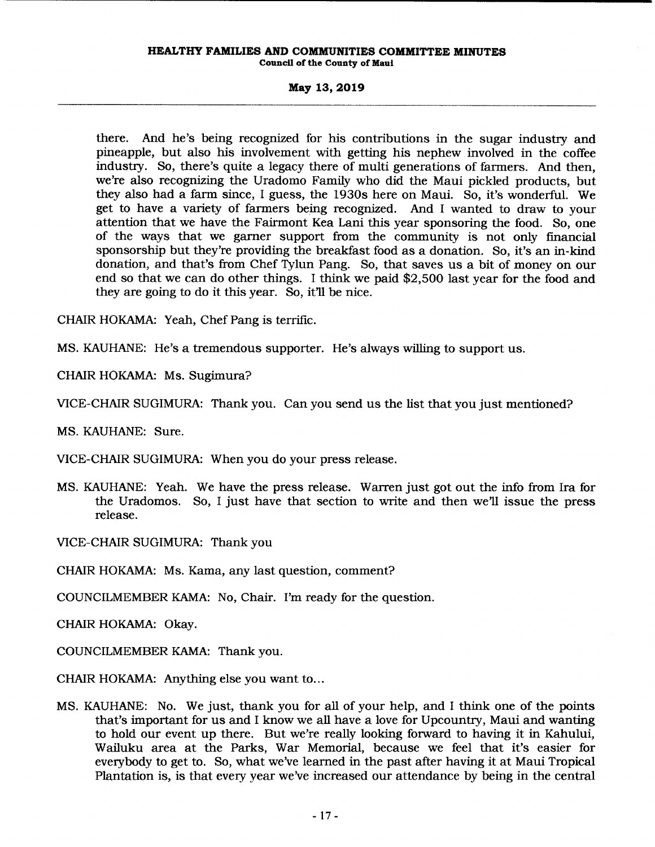there. And he's being recognized for his contributions in the sugar industry and pineapple, but also his involvement with getting his nephew involved in the coffee industry. So, there's quite a legacy there of multi generations of farmers. And then, we're also recognizing the Uradomo Family who did the Maui pickled products, but they also had a farm since, I guess, the 1930s here on Maui. So, it's wonderful. We get to have a variety of farmers being recognized. And I wanted to draw to your attention that we have the Fairmont Kea Lani this year sponsoring the food. So, one of the ways that we garner support from the community is not only fmancial sponsorship but they're providing the breakfast food as a donation. So, it's an in-kind donation, and that's from Chef Tylun Pang. So, that saves us a bit of money on our end so that we can do other things. I think we paid \$2,500 last year for the food and they are going to do it this year. So, it'll be nice.

CHAIR HOKAMA: Yeah, Chef Pang is terrific.

MS. KAUHANE: He's a tremendous supporter. He's always willing to support us.

CHAIR HOKAMA: Ms. Sugimura?

VICE-CHAIR SUGIMURA: Thank you. Can you send us the list that you just mentioned?

MS. KAUHANE: Sure.

VICE-CHAIR SUGIMURA: When you do your press release.

MS. KAUHANE: Yeah. We have the press release. Warren just got out the info from Ira for the Uradomos. So, I just have that section to write and then we'll issue the press release.

VICE-CHAIR SUGIMURA: Thank you

CHAIR HOKAMA: Ms. Kama, any last question, comment?

COUNCILMEMBER KAMA: No, Chair. I'm ready for the question.

CHAIR HOKAMA: Okay.

COUNCILMEMBER KAMA: Thank you.

CHAIR HOKAMA: Anything else you want to...

MS. KAUHANE: No. We just, thank you for all of your help, and I think one of the points that's important for us and I know we all have a love for Upcountry, Maui and wanting to hold our event up there. But we're really looking forward to having it in Kahului, Wailuku area at the Parks, War Memorial, because we feel that it's easier for everybody to get to. So, what we've learned in the past after having it at Maui Tropical Plantation is, is that every year we've increased our attendance by being in the central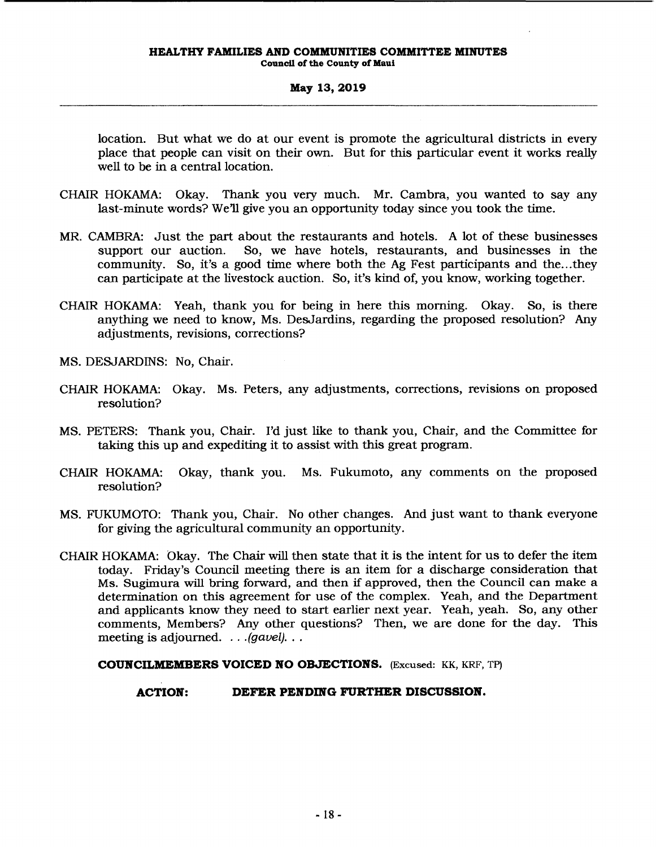location. But what we do at our event is promote the agricultural districts in every place that people can visit on their own. But for this particular event it works really well to be in a central location.

- CHAIR HOKAMA: Okay. Thank you very much. Mr. Cambra, you wanted to say any last-minute words? We'll give you an opportunity today since you took the time.
- MR. CAMBRA: Just the part about the restaurants and hotels. A lot of these businesses support our auction. So, we have hotels, restaurants, and businesses in the So, we have hotels, restaurants, and businesses in the community. So, it's a good time where both the Ag Fest participants and the...they can participate at the livestock auction. So, it's kind of, you know, working together.
- CHAIR HOKAMA: Yeah, thank you for being in here this morning. Okay. So, is there anything we need to know, Ms. DesJardins, regarding the proposed resolution? Any adjustments, revisions, corrections?
- MS. DESJARDINS: No, Chair.
- CHAIR HOKAMA: Okay. Ms. Peters, any adjustments, corrections, revisions on proposed resolution?
- MS. PETERS: Thank you, Chair. I'd just like to thank you, Chair, and the Committee for taking this up and expediting it to assist with this great program.
- CHAIR HOKAMA: Okay, thank you. Ms. Fukumoto, any comments on the proposed resolution?
- MS. FUKUMOTO: Thank you, Chair. No other changes. And just want to thank everyone for giving the agricultural community an opportunity.
- CHAIR HOKAMA: Okay. The Chair will then state that it is the intent for us to defer the item today. Friday's Council meeting there is an item for a discharge consideration that Ms. Sugimura will bring forward, and then if approved, then the Council can make a determination on this agreement for use of the complex. Yeah, and the Department and applicants know they need to start earlier next year. Yeah, yeah. So, any other comments, Members? Any other questions? Then, we are done for the day. This meeting is adjourned.  $\ldots$  (gavel). ..

### **COUNCILMEMBERS VOICED NO OBJECTIONS.** (Excused: KK, KRF, TP)

### **ACTION: DEFER PENDING FURTHER DISCUSSION.**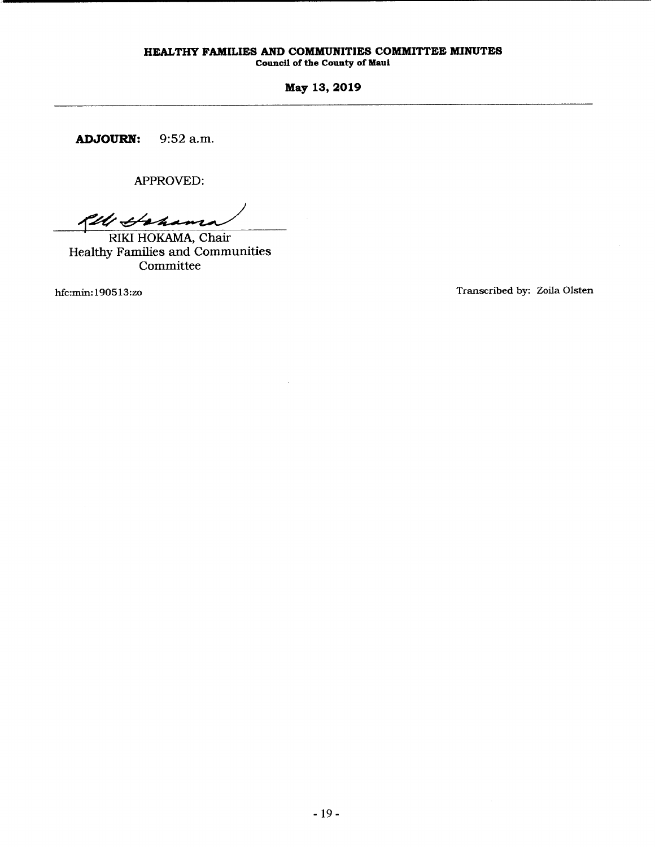Council of the County of Maui

May 13,2019

ADJOURN: 9:52 a.m.

APPROVED:

fll Gahama

RIKI HOKAMA, Chair Healthy Families and Communities Committee

hfc:min: 190513:zo

Transcribed by: Zoila Olsten